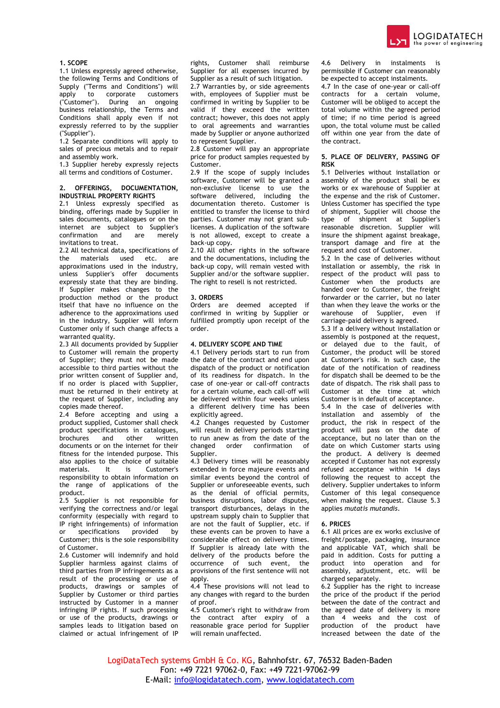

# **1. SCOPE**

1.1 Unless expressly agreed otherwise, the following Terms and Conditions of Supply ("Terms and Conditions") will apply to corporate customers<br>("Customer"). During an ongoing During an ongoing business relationship, the Terms and Conditions shall apply even if not expressly referred to by the supplier ("Supplier").

1.2 Separate conditions will apply to sales of precious metals and to repair and assembly work.

1.3 Supplier hereby expressly rejects all terms and conditions of Costumer.

### **2. OFFERINGS, DOCUMENTATION, INDUSTRIAL PROPERTY RIGHTS**

2.1 Unless expressly specified as binding, offerings made by Supplier in sales documents, catalogues or on the internet are subject to Supplier's confirmation and are merely invitations to treat.

2.2 All technical data, specifications of the materials used etc. are approximations used in the industry, unless Supplier's offer documents expressly state that they are binding. If Supplier makes changes to the production method or the product itself that have no influence on the adherence to the approximations used in the industry, Supplier will inform Customer only if such change affects a warranted quality.

2.3 All documents provided by Supplier to Customer will remain the property of Supplier; they must not be made accessible to third parties without the prior written consent of Supplier and, if no order is placed with Supplier, must be returned in their entirety at the request of Supplier, including any copies made thereof.

2.4 Before accepting and using a product supplied, Customer shall check product specifications in catalogues,<br>brochures and other written brochures and other documents or on the internet for their fitness for the intended purpose. This also applies to the choice of suitable materials. It is Customer's responsibility to obtain information on the range of applications of the product.

2.5 Supplier is not responsible for verifying the correctness and/or legal conformity (especially with regard to IP right infringements) of information specifications provided by Customer; this is the sole responsibility of Customer.

2.6 Customer will indemnify and hold Supplier harmless against claims of third parties from IP infringements as a result of the processing or use of products, drawings or samples of Supplier by Customer or third parties instructed by Customer in a manner infringing IP rights. If such processing or use of the products, drawings or samples leads to litigation based on claimed or actual infringement of IP rights, Customer shall reimburse Supplier for all expenses incurred by Supplier as a result of such litigation.

2.7 Warranties by, or side agreements with, employees of Supplier must be confirmed in writing by Supplier to be valid if they exceed the written contract; however, this does not apply to oral agreements and warranties made by Supplier or anyone authorized to represent Supplier.

2.8 Customer will pay an appropriate price for product samples requested by Customer.

2.9 If the scope of supply includes software, Customer will be granted a non-exclusive license to use the software delivered, including the documentation thereto. Customer is entitled to transfer the license to third parties. Customer may not grant sublicenses. A duplication of the software is not allowed, except to create a back-up copy.

2.10 All other rights in the software and the documentations, including the back-up copy, will remain vested with Supplier and/or the software supplier. The right to resell is not restricted.

### **3. ORDERS**

Orders are deemed accepted if confirmed in writing by Supplier or fulfilled promptly upon receipt of the order.

# **4. DELIVERY SCOPE AND TIME**

4.1 Delivery periods start to run from the date of the contract and end upon dispatch of the product or notification of its readiness for dispatch. In the case of one-year or call-off contracts for a certain volume, each call-off will be delivered within four weeks unless a different delivery time has been explicitly agreed.

4.2 Changes requested by Customer will result in delivery periods starting to run anew as from the date of the changed order confirmation of Supplier.

4.3 Delivery times will be reasonably extended in force majeure events and similar events beyond the control of Supplier or unforeseeable events, such as the denial of official permits, business disruptions, labor disputes, transport disturbances, delays in the upstream supply chain to Supplier that are not the fault of Supplier, etc. if these events can be proven to have a considerable effect on delivery times. If Supplier is already late with the delivery of the products before the occurrence of such event, the provisions of the first sentence will not annly

4.4 These provisions will not lead to any changes with regard to the burden of proof.

4.5 Customer's right to withdraw from the contract after expiry of a reasonable grace period for Supplier will remain unaffected.

4.6 Delivery in instalments is permissible if Customer can reasonably be expected to accept instalments.

4.7 In the case of one-year or call-off contracts for a certain volume, Customer will be obliged to accept the total volume within the agreed period of time; if no time period is agreed upon, the total volume must be called off within one year from the date of the contract.

### **5. PLACE OF DELIVERY, PASSING OF RISK**

5.1 Deliveries without installation or assembly of the product shall be ex works or ex warehouse of Supplier at the expense and the risk of Customer. Unless Customer has specified the type of shipment, Supplier will choose the type of shipment at Supplier's reasonable discretion. Supplier will insure the shipment against breakage, transport damage and fire at the request and cost of Customer.

5.2 In the case of deliveries without installation or assembly, the risk in respect of the product will pass to Customer when the products are handed over to Customer, the freight forwarder or the carrier, but no later than when they leave the works or the warehouse of Supplier, even if carriage-paid delivery is agreed.

5.3 If a delivery without installation or assembly is postponed at the request, or delayed due to the fault, of Customer, the product will be stored at Customer's risk. In such case, the date of the notification of readiness for dispatch shall be deemed to be the date of dispatch. The risk shall pass to Customer at the time at which Customer is in default of acceptance.

5.4 In the case of deliveries with installation and assembly of the product, the risk in respect of the product will pass on the date of acceptance, but no later than on the date on which Customer starts using the product. A delivery is deemed accepted if Customer has not expressly refused acceptance within 14 days following the request to accept the delivery. Supplier undertakes to inform Customer of this legal consequence when making the request. Clause 5.3 applies *mutatis mutandis*.

# **6. PRICES**

6.1 All prices are ex works exclusive of freight/postage, packaging, insurance and applicable VAT, which shall be paid in addition. Costs for putting a product into operation and for assembly, adjustment, etc. will be charged separately.

6.2 Supplier has the right to increase the price of the product if the period between the date of the contract and the agreed date of delivery is more than 4 weeks and the cost of production of the product have increased between the date of the

LogiDataTech systems GmbH & Co. KG, Bahnhofstr. 67, 76532 Baden-Baden Fon: +49 7221 97062-0, Fax: +49 7221-97062-99 E-Mail: [info@logidatatech.com,](mailto:info@logidatatech.com) [www.logidatatech.com](http://www.logidatatech.com/)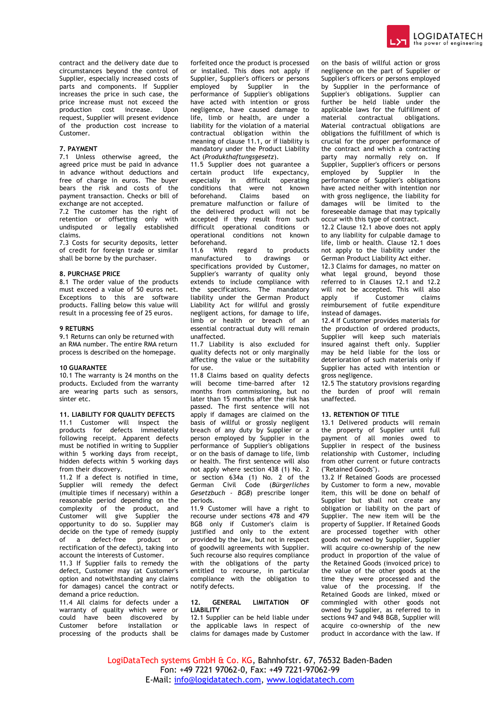

contract and the delivery date due to circumstances beyond the control of Supplier, especially increased costs of parts and components. If Supplier increases the price in such case, the price increase must not exceed the production cost increase. Upon request, Supplier will present evidence of the production cost increase to Customer.

## **7. PAYMENT**

7.1 Unless otherwise agreed, the agreed price must be paid in advance in advance without deductions and free of charge in euros. The buyer bears the risk and costs of the payment transaction. Checks or bill of exchange are not accepted.

7.2 The customer has the right of retention or offsetting only with undisputed or legally established claims.

7.3 Costs for security deposits, letter of credit for foreign trade or similar shall be borne by the purchaser.

#### **8. PURCHASE PRICE**

8.1 The order value of the products must exceed a value of 50 euros net. Exceptions to this are software products. Falling below this value will result in a processing fee of 25 euros.

# **9 RETURNS**

9.1 Returns can only be returned with an RMA number. The entire RMA return process is described on the homepage.

#### **10 GUARANTEE**

10.1 The warranty is 24 months on the products. Excluded from the warranty are wearing parts such as sensors, sinter etc.

**11. LIABILITY FOR QUALITY DEFECTS**  11.1 Customer will inspect the products for defects immediately following receipt. Apparent defects must be notified in writing to Supplier within 5 working days from receipt, hidden defects within 5 working days from their discovery.

11.2 If a defect is notified in time, Supplier will remedy the defect (multiple times if necessary) within a reasonable period depending on the complexity of the product, and Customer will give Supplier the opportunity to do so. Supplier may decide on the type of remedy (supply of a defect-free product or rectification of the defect), taking into account the interests of Customer.

11.3 If Supplier fails to remedy the defect, Customer may (at Customer's option and notwithstanding any claims for damages) cancel the contract or demand a price reduction.

11.4 All claims for defects under a warranty of quality which were or could have been discovered by Customer before installation or processing of the products shall be forfeited once the product is processed or installed. This does not apply if Supplier, Supplier's officers or persons employed by Supplier in the performance of Supplier's obligations have acted with intention or gross negligence, have caused damage to life, limb or health, are under a liability for the violation of a material contractual obligation within the meaning of clause 11.1, or if liability is mandatory under the Product Liability Act (*Produkthaftungsgesetz*).

11.5 Supplier does not guarantee a certain product life expectancy, especially in difficult operating conditions that were not known beforehand. Claims based on premature malfunction or failure of the delivered product will not be accepted if they result from such difficult operational conditions or operational conditions not known beforehand.

11.6 With regard to products manufactured to drawings or specifications provided by Customer, Supplier's warranty of quality only extends to include compliance with the specifications. The mandatory liability under the German Product Liability Act for willful and grossly negligent actions, for damage to life, limb or health or breach of an essential contractual duty will remain unaffected.

11.7 Liability is also excluded for quality defects not or only marginally affecting the value or the suitability for use.

11.8 Claims based on quality defects will become time-barred after 12 months from commissioning, but no later than 15 months after the risk has passed. The first sentence will not apply if damages are claimed on the basis of willful or grossly negligent breach of any duty by Supplier or a person employed by Supplier in the performance of Supplier's obligations or on the basis of damage to life, limb or health. The first sentence will also not apply where section 438 (1) No. 2 or section 634a (1) No. 2 of the German Civil Code (*Bürgerliches Gesetzbuch - BGB*) prescribe longer periods.

11.9 Customer will have a right to recourse under sections 478 and 479 BGB only if Customer's claim is justified and only to the extent provided by the law, but not in respect of goodwill agreements with Supplier. Such recourse also requires compliance with the obligations of the party entitled to recourse, in particular compliance with the obligation to notify defects.

# **12. GENERAL LIMITATION OF LIABILITY**

12.1 Supplier can be held liable under the applicable laws in respect of claims for damages made by Customer

on the basis of willful action or gross negligence on the part of Supplier or Supplier's officers or persons employed by Supplier in the performance of Supplier's obligations. Supplier can further be held liable under the applicable laws for the fulfillment of material contractual obligations. Material contractual obligations are obligations the fulfillment of which is crucial for the proper performance of the contract and which a contracting party may normally rely on. If Supplier, Supplier's officers or persons employed by Supplier in the performance of Supplier's obligations have acted neither with intention nor with gross negligence, the liability for damages will be limited to the foreseeable damage that may typically occur with this type of contract.

12.2 Clause 12.1 above does not apply to any liability for culpable damage to life, limb or health. Clause 12.1 does not apply to the liability under the German Product Liability Act either.

12.3 Claims for damages, no matter on what legal ground, beyond those referred to in Clauses 12.1 and 12.2 will not be accepted. This will also<br>apply if Customer claims Customer reimbursement of futile expenditure instead of damages.

12.4 If Customer provides materials for the production of ordered products, Supplier will keep such materials insured against theft only. Supplier may be held liable for the loss or deterioration of such materials only if Supplier has acted with intention or gross negligence.

12.5 The statutory provisions regarding the burden of proof will remain unaffected.

### **13. RETENTION OF TITLE**

13.1 Delivered products will remain the property of Supplier until full payment of all monies owed to Supplier in respect of the business relationship with Customer, including from other current or future contracts ("Retained Goods").

13.2 If Retained Goods are processed by Customer to form a new, movable item, this will be done on behalf of Supplier but shall not create any obligation or liability on the part of Supplier. The new item will be the property of Supplier. If Retained Goods are processed together with other goods not owned by Supplier, Supplier will acquire co-ownership of the new product in proportion of the value of the Retained Goods (invoiced price) to the value of the other goods at the time they were processed and the value of the processing. If the Retained Goods are linked, mixed or commingled with other goods not owned by Supplier, as referred to in sections 947 and 948 BGB, Supplier will acquire co-ownership of the new product in accordance with the law. If

LogiDataTech systems GmbH & Co. KG, Bahnhofstr. 67, 76532 Baden-Baden Fon: +49 7221 97062-0, Fax: +49 7221-97062-99 E-Mail: [info@logidatatech.com,](mailto:info@logidatatech.com) [www.logidatatech.com](http://www.logidatatech.com/)